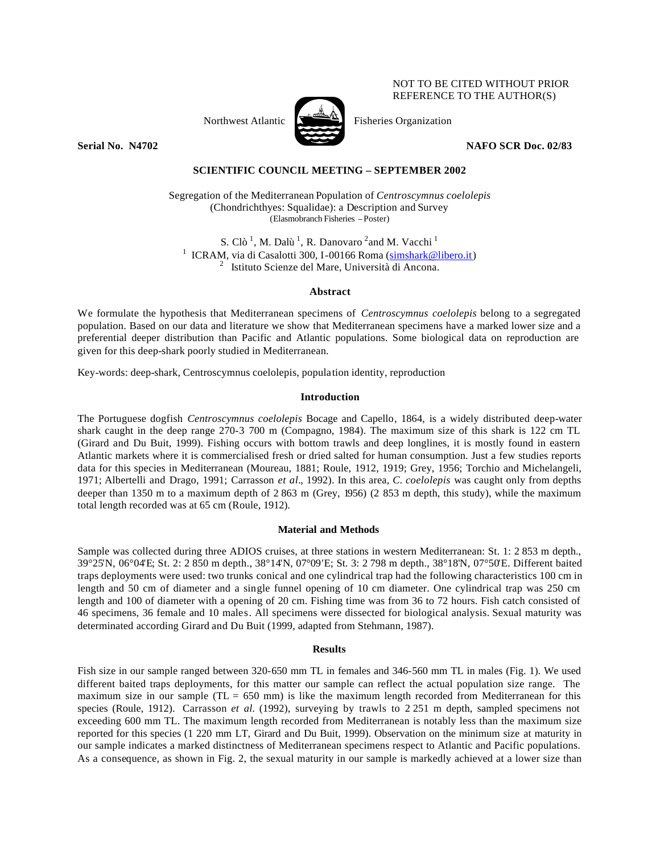# NOT TO BE CITED WITHOUT PRIOR REFERENCE TO THE AUTHOR(S)



Northwest Atlantic  $\sum_{n=1}^{\infty}$  Fisheries Organization

**Serial No. N4702** NAFO SCR Doc. 02/83

# **SCIENTIFIC COUNCIL MEETING – SEPTEMBER 2002**

Segregation of the Mediterranean Population of *Centroscymnus coelolepis* (Chondrichthyes: Squalidae): a Description and Survey (Elasmobranch Fisheries –Poster)

S. Clò<sup>1</sup>, M. Dalù<sup>1</sup>, R. Danovaro <sup>2</sup> and M. Vacchi<sup>1</sup> <sup>1</sup> ICRAM, via di Casalotti 300, I-00166 Roma (simshark@libero.it) <sup>2</sup> Istituto Scienze del Mare, Università di Ancona.

### **Abstract**

We formulate the hypothesis that Mediterranean specimens of *Centroscymnus coelolepis* belong to a segregated population. Based on our data and literature we show that Mediterranean specimens have a marked lower size and a preferential deeper distribution than Pacific and Atlantic populations. Some biological data on reproduction are given for this deep-shark poorly studied in Mediterranean.

Key-words: deep-shark, Centroscymnus coelolepis, population identity, reproduction

### **Introduction**

The Portuguese dogfish *Centroscymnus coelolepis* Bocage and Capello, 1864, is a widely distributed deep-water shark caught in the deep range 270-3 700 m (Compagno, 1984). The maximum size of this shark is 122 cm TL (Girard and Du Buit, 1999). Fishing occurs with bottom trawls and deep longlines, it is mostly found in eastern Atlantic markets where it is commercialised fresh or dried salted for human consumption. Just a few studies reports data for this species in Mediterranean (Moureau, 1881; Roule, 1912, 1919; Grey, 1956; Torchio and Michelangeli, 1971; Albertelli and Drago, 1991; Carrasson *et al.*, 1992). In this area, *C. coelolepis* was caught only from depths deeper than 1350 m to a maximum depth of 2 863 m (Grey, 1956) (2 853 m depth, this study), while the maximum total length recorded was at 65 cm (Roule, 1912).

### **Material and Methods**

Sample was collected during three ADIOS cruises, at three stations in western Mediterranean: St. 1: 2 853 m depth., 39°25'N, 06°04'E; St. 2: 2 850 m depth., 38°14'N, 07°09'E; St. 3: 2 798 m depth., 38°18'N, 07°50'E. Different baited traps deployments were used: two trunks conical and one cylindrical trap had the following characteristics 100 cm in length and 50 cm of diameter and a single funnel opening of 10 cm diameter. One cylindrical trap was 250 cm length and 100 of diameter with a opening of 20 cm. Fishing time was from 36 to 72 hours. Fish catch consisted of 46 specimens, 36 female and 10 males. All specimens were dissected for biological analysis. Sexual maturity was determinated according Girard and Du Buit (1999, adapted from Stehmann, 1987).

### **Results**

Fish size in our sample ranged between 320-650 mm TL in females and 346-560 mm TL in males (Fig. 1). We used different baited traps deployments, for this matter our sample can reflect the actual population size range. The maximum size in our sample ( $TL = 650$  mm) is like the maximum length recorded from Mediterranean for this species (Roule, 1912). Carrasson *et al.* (1992), surveying by trawls to 2 251 m depth, sampled specimens not exceeding 600 mm TL. The maximum length recorded from Mediterranean is notably less than the maximum size reported for this species (1 220 mm LT, Girard and Du Buit, 1999). Observation on the minimum size at maturity in our sample indicates a marked distinctness of Mediterranean specimens respect to Atlantic and Pacific populations. As a consequence, as shown in Fig. 2, the sexual maturity in our sample is markedly achieved at a lower size than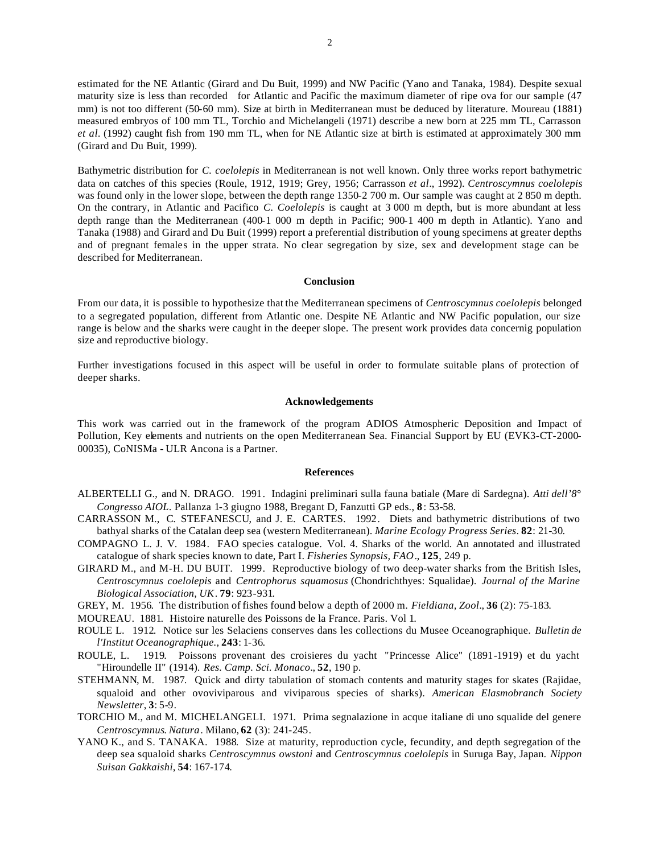estimated for the NE Atlantic (Girard and Du Buit, 1999) and NW Pacific (Yano and Tanaka, 1984). Despite sexual maturity size is less than recorded for Atlantic and Pacific the maximum diameter of ripe ova for our sample (47 mm) is not too different (50-60 mm). Size at birth in Mediterranean must be deduced by literature. Moureau (1881) measured embryos of 100 mm TL, Torchio and Michelangeli (1971) describe a new born at 225 mm TL, Carrasson *et al.* (1992) caught fish from 190 mm TL, when for NE Atlantic size at birth is estimated at approximately 300 mm (Girard and Du Buit, 1999).

Bathymetric distribution for *C. coelolepis* in Mediterranean is not well known. Only three works report bathymetric data on catches of this species (Roule, 1912, 1919; Grey, 1956; Carrasson *et al*., 1992). *Centroscymnus coelolepis* was found only in the lower slope, between the depth range 1350-2 700 m. Our sample was caught at 2 850 m depth. On the contrary, in Atlantic and Pacifico *C. Coelolepis* is caught at 3 000 m depth, but is more abundant at less depth range than the Mediterranean (400-1 000 m depth in Pacific; 900-1 400 m depth in Atlantic). Yano and Tanaka (1988) and Girard and Du Buit (1999) report a preferential distribution of young specimens at greater depths and of pregnant females in the upper strata. No clear segregation by size, sex and development stage can be described for Mediterranean.

### **Conclusion**

From our data, it is possible to hypothesize that the Mediterranean specimens of *Centroscymnus coelolepis* belonged to a segregated population, different from Atlantic one. Despite NE Atlantic and NW Pacific population, our size range is below and the sharks were caught in the deeper slope. The present work provides data concernig population size and reproductive biology.

Further investigations focused in this aspect will be useful in order to formulate suitable plans of protection of deeper sharks.

#### **Acknowledgements**

This work was carried out in the framework of the program ADIOS Atmospheric Deposition and Impact of Pollution, Key elements and nutrients on the open Mediterranean Sea. Financial Support by EU (EVK3-CT-2000-00035), CoNISMa - ULR Ancona is a Partner.

#### **References**

- ALBERTELLI G., and N. DRAGO. 1991. Indagini preliminari sulla fauna batiale (Mare di Sardegna). *Atti dell'8° Congresso AIOL*. Pallanza 1-3 giugno 1988, Bregant D, Fanzutti GP eds., **8**: 53-58.
- CARRASSON M., C. STEFANESCU, and J. E. CARTES. 1992. Diets and bathymetric distributions of two bathyal sharks of the Catalan deep sea (western Mediterranean). *Marine Ecology Progress Series*. **82**: 21-30.
- COMPAGNO L. J. V. 1984. FAO species catalogue. Vol. 4. Sharks of the world. An annotated and illustrated catalogue of shark species known to date, Part I. *Fisheries Synopsis, FAO*., **125**, 249 p.
- GIRARD M., and M-H. DU BUIT. 1999. Reproductive biology of two deep-water sharks from the British Isles, *Centroscymnus coelolepis* and *Centrophorus squamosus* (Chondrichthyes: Squalidae). *Journal of the Marine Biological Association, UK*. **79**: 923-931.

GREY, M. 1956. The distribution of fishes found below a depth of 2000 m. *Fieldiana, Zool*., **36** (2): 75-183.

MOUREAU. 1881. Histoire naturelle des Poissons de la France. Paris. Vol 1.

- ROULE L. 1912. Notice sur les Selaciens conserves dans les collections du Musee Oceanographique. *Bulletin de l'Institut Oceanographique.*, **243**: 1-36.
- ROULE, L. 1919. Poissons provenant des croisieres du yacht "Princesse Alice" (1891-1919) et du yacht "Hiroundelle II" (1914). *Res. Camp. Sci. Monaco*., **52**, 190 p.
- STEHMANN, M. 1987. Quick and dirty tabulation of stomach contents and maturity stages for skates (Rajidae, squaloid and other ovoviviparous and viviparous species of sharks). *American Elasmobranch Society Newsletter*, **3**: 5-9.
- TORCHIO M., and M. MICHELANGELI. 1971. Prima segnalazione in acque italiane di uno squalide del genere *Centroscymnus*. *Natura*. Milano, **62** (3): 241-245.
- YANO K., and S. TANAKA. 1988. Size at maturity, reproduction cycle, fecundity, and depth segregation of the deep sea squaloid sharks *Centroscymnus owstoni* and *Centroscymnus coelolepis* in Suruga Bay, Japan. *Nippon Suisan Gakkaishi*, **54**: 167-174.